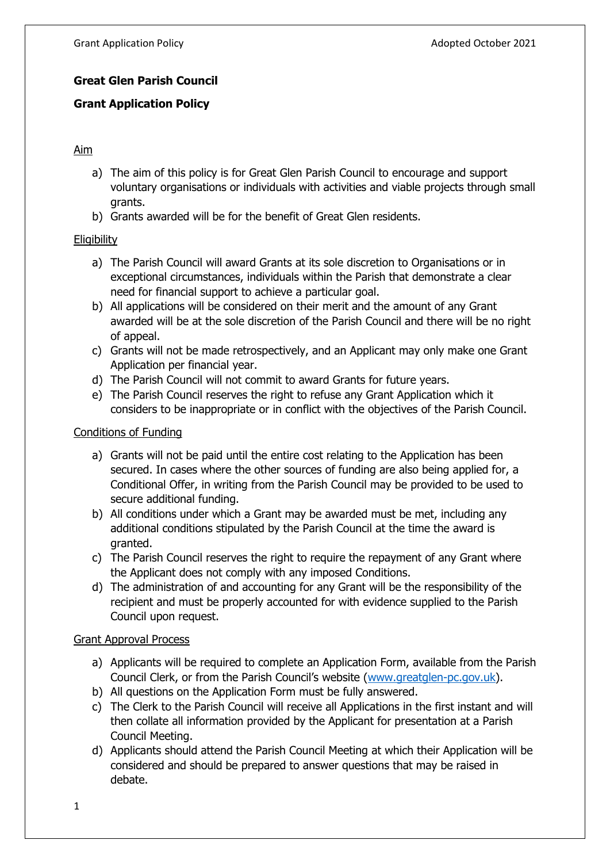# **Great Glen Parish Council**

# **Grant Application Policy**

## Aim

- a) The aim of this policy is for Great Glen Parish Council to encourage and support voluntary organisations or individuals with activities and viable projects through small grants.
- b) Grants awarded will be for the benefit of Great Glen residents.

## **Eligibility**

- a) The Parish Council will award Grants at its sole discretion to Organisations or in exceptional circumstances, individuals within the Parish that demonstrate a clear need for financial support to achieve a particular goal.
- b) All applications will be considered on their merit and the amount of any Grant awarded will be at the sole discretion of the Parish Council and there will be no right of appeal.
- c) Grants will not be made retrospectively, and an Applicant may only make one Grant Application per financial year.
- d) The Parish Council will not commit to award Grants for future years.
- e) The Parish Council reserves the right to refuse any Grant Application which it considers to be inappropriate or in conflict with the objectives of the Parish Council.

#### Conditions of Funding

- a) Grants will not be paid until the entire cost relating to the Application has been secured. In cases where the other sources of funding are also being applied for, a Conditional Offer, in writing from the Parish Council may be provided to be used to secure additional funding.
- b) All conditions under which a Grant may be awarded must be met, including any additional conditions stipulated by the Parish Council at the time the award is granted.
- c) The Parish Council reserves the right to require the repayment of any Grant where the Applicant does not comply with any imposed Conditions.
- d) The administration of and accounting for any Grant will be the responsibility of the recipient and must be properly accounted for with evidence supplied to the Parish Council upon request.

#### Grant Approval Process

- a) Applicants will be required to complete an Application Form, available from the Parish Council Clerk, or from the Parish Council's website ([www.greatglen-pc.gov.uk\)](http://www.greatglen-pc.gov.uk/).
- b) All questions on the Application Form must be fully answered.
- c) The Clerk to the Parish Council will receive all Applications in the first instant and will then collate all information provided by the Applicant for presentation at a Parish Council Meeting.
- d) Applicants should attend the Parish Council Meeting at which their Application will be considered and should be prepared to answer questions that may be raised in debate.